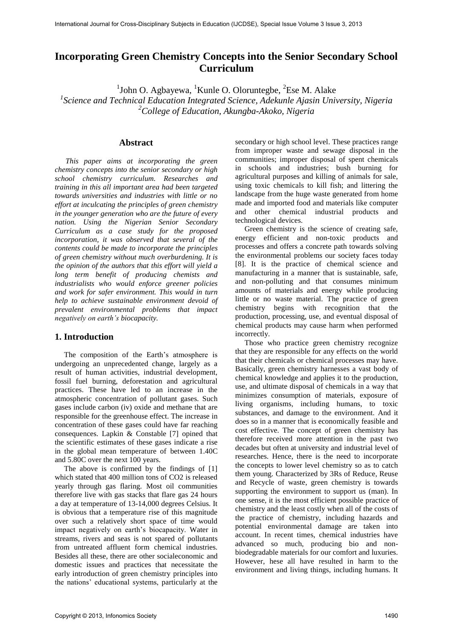# **Incorporating Green Chemistry Concepts into the Senior Secondary School Curriculum**

 $1$ John O. Agbayewa,  $1$ Kunle O. Oloruntegbe,  $2$ Ese M. Alake

<sup>1</sup> Science and Technical Education Integrated Science, Adekunle Ajasin University, Nigeria *<sup>2</sup>College of Education, Akungba-Akoko, Nigeria* 

#### **Abstract**

*This paper aims at incorporating the green chemistry concepts into the senior secondary or high school chemistry curriculum. Researches and training in this all important area had been targeted towards universities and industries with little or no effort at inculcating the principles of green chemistry in the younger generation who are the future of every nation. Using the Nigerian Senior Secondary Curriculum as a case study for the proposed incorporation, it was observed that several of the contents could be made to incorporate the principles of green chemistry without much overburdening. It is the opinion of the authors that this effort will yield a long term benefit of producing chemists and industrialists who would enforce greener policies and work for safer environment. This would in turn help to achieve sustainable environment devoid of prevalent environmental problems that impact negatively on earth's biocapacity.* 

### **1. Introduction**

The composition of the Earth's atmosphere is undergoing an unprecedented change, largely as a result of human activities, industrial development, fossil fuel burning, deforestation and agricultural practices. These have led to an increase in the atmospheric concentration of pollutant gases. Such gases include carbon (iv) oxide and methane that are responsible for the greenhouse effect. The increase in concentration of these gases could have far reaching consequences. Lapkin & Constable [7] opined that the scientific estimates of these gases indicate a rise in the global mean temperature of between 1.40C and 5.80C over the next 100 years.

The above is confirmed by the findings of [1] which stated that 400 million tons of CO2 is released yearly through gas flaring. Most oil communities therefore live with gas stacks that flare gas 24 hours a day at temperature of 13-14,000 degrees Celsius. It is obvious that a temperature rise of this magnitude over such a relatively short space of time would impact negatively on earth's biocapacity. Water in streams, rivers and seas is not spared of pollutants from untreated affluent form chemical industries. Besides all these, there are other socialeconomic and domestic issues and practices that necessitate the early introduction of green chemistry principles into the nations' educational systems, particularly at the

secondary or high school level. These practices range from improper waste and sewage disposal in the communities; improper disposal of spent chemicals in schools and industries; bush burning for agricultural purposes and killing of animals for sale, using toxic chemicals to kill fish; and littering the landscape from the huge waste generated from home made and imported food and materials like computer and other chemical industrial products and technological devices.

Green chemistry is the science of creating safe, energy efficient and non-toxic products and processes and offers a concrete path towards solving the environmental problems our society faces today [8]. It is the practice of chemical science and manufacturing in a manner that is sustainable, safe, and non-polluting and that consumes minimum amounts of materials and energy while producing little or no waste material. The practice of green chemistry begins with recognition that the production, processing, use, and eventual disposal of chemical products may cause harm when performed incorrectly.

Those who practice green chemistry recognize that they are responsible for any effects on the world that their chemicals or chemical processes may have. Basically, green chemistry harnesses a vast body of chemical knowledge and applies it to the production, use, and ultimate disposal of chemicals in a way that minimizes consumption of materials, exposure of living organisms, including humans, to toxic substances, and damage to the environment. And it does so in a manner that is economically feasible and cost effective. The concept of green chemistry has therefore received more attention in the past two decades but often at university and industrial level of researches. Hence, there is the need to incorporate the concepts to lower level chemistry so as to catch them young. Characterized by 3Rs of Reduce, Reuse and Recycle of waste, green chemistry is towards supporting the environment to support us (man). In one sense, it is the most efficient possible practice of chemistry and the least costly when all of the costs of the practice of chemistry, including hazards and potential environmental damage are taken into account. In recent times, chemical industries have advanced so much, producing bio and nonbiodegradable materials for our comfort and luxuries. However, hese all have resulted in harm to the environment and living things, including humans. It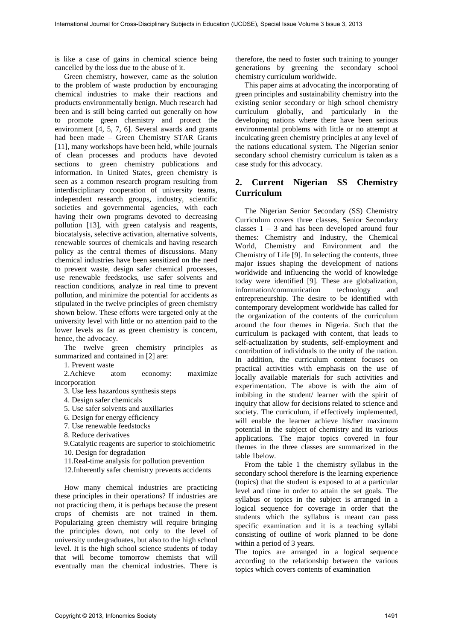is like a case of gains in chemical science being cancelled by the loss due to the abuse of it.

Green chemistry, however, came as the solution to the problem of waste production by encouraging chemical industries to make their reactions and products environmentally benign. Much research had been and is still being carried out generally on how to promote green chemistry and protect the environment [4, 5, 7, 6]. Several awards and grants had been made – Green Chemistry STAR Grants [11], many workshops have been held, while journals of clean processes and products have devoted sections to green chemistry publications and information. In United States, green chemistry is seen as a common research program resulting from interdisciplinary cooperation of university teams, independent research groups, industry, scientific societies and governmental agencies, with each having their own programs devoted to decreasing pollution [13], with green catalysis and reagents, biocatalysis, selective activation, alternative solvents, renewable sources of chemicals and having research policy as the central themes of discussions. Many chemical industries have been sensitized on the need to prevent waste, design safer chemical processes, use renewable feedstocks, use safer solvents and reaction conditions, analyze in real time to prevent pollution, and minimize the potential for accidents as stipulated in the twelve principles of green chemistry shown below. These efforts were targeted only at the university level with little or no attention paid to the lower levels as far as green chemistry is concern, hence, the advocacy.

The twelve green chemistry principles as summarized and contained in [2] are:

1. Prevent waste

2.Achieve atom economy: maximize incorporation

3. Use less hazardous synthesis steps

4. Design safer chemicals

5. Use safer solvents and auxiliaries

6. Design for energy efficiency

7. Use renewable feedstocks

8. Reduce derivatives

9.Catalytic reagents are superior to stoichiometric

10. Design for degradation

11.Real-time analysis for pollution prevention

12.Inherently safer chemistry prevents accidents

How many chemical industries are practicing these principles in their operations? If industries are not practicing them, it is perhaps because the present crops of chemists are not trained in them. Popularizing green chemistry will require bringing the principles down, not only to the level of university undergraduates, but also to the high school level. It is the high school science students of today that will become tomorrow chemists that will eventually man the chemical industries. There is

therefore, the need to foster such training to younger generations by greening the secondary school chemistry curriculum worldwide.

This paper aims at advocating the incorporating of green principles and sustainability chemistry into the existing senior secondary or high school chemistry curriculum globally, and particularly in the developing nations where there have been serious environmental problems with little or no attempt at inculcating green chemistry principles at any level of the nations educational system. The Nigerian senior secondary school chemistry curriculum is taken as a case study for this advocacy.

# **2. Current Nigerian SS Chemistry Curriculum**

The Nigerian Senior Secondary (SS) Chemistry Curriculum covers three classes, Senior Secondary classes  $1 - 3$  and has been developed around four themes: Chemistry and Industry, the Chemical World, Chemistry and Environment and the Chemistry of Life [9]. In selecting the contents, three major issues shaping the development of nations worldwide and influencing the world of knowledge today were identified [9]. These are globalization, information/communication technology and entrepreneurship. The desire to be identified with contemporary development worldwide has called for the organization of the contents of the curriculum around the four themes in Nigeria. Such that the curriculum is packaged with content, that leads to self-actualization by students, self-employment and contribution of individuals to the unity of the nation. In addition, the curriculum content focuses on practical activities with emphasis on the use of locally available materials for such activities and experimentation. The above is with the aim of imbibing in the student/ learner with the spirit of inquiry that allow for decisions related to science and society. The curriculum, if effectively implemented, will enable the learner achieve his/her maximum potential in the subject of chemistry and its various applications. The major topics covered in four themes in the three classes are summarized in the table 1below.

From the table 1 the chemistry syllabus in the secondary school therefore is the learning experience (topics) that the student is exposed to at a particular level and time in order to attain the set goals. The syllabus or topics in the subject is arranged in a logical sequence for coverage in order that the students which the syllabus is meant can pass specific examination and it is a teaching syllabi consisting of outline of work planned to be done within a period of 3 years.

The topics are arranged in a logical sequence according to the relationship between the various topics which covers contents of examination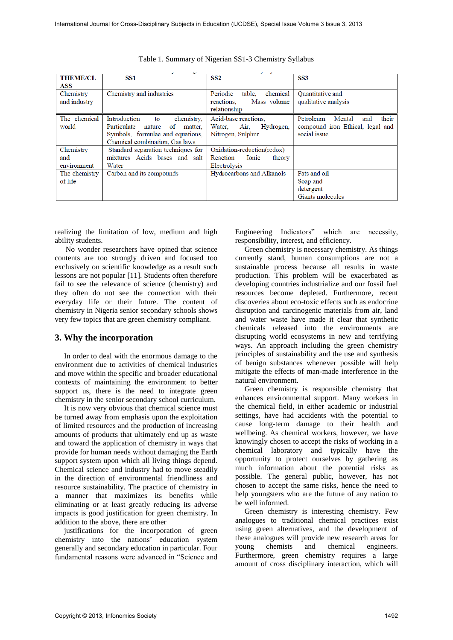| <b>THEME/CL</b> | SS1                                    | SS <sub>2</sub>                | SS <sub>3</sub>                     |
|-----------------|----------------------------------------|--------------------------------|-------------------------------------|
| ASS             |                                        |                                |                                     |
| Chemistry       | Chemistry and industries               | Periodic<br>chemical<br>table. | <b>Ouantitative</b> and             |
| and industry    |                                        | Mass volume<br>reactions.      | qualitative analysis                |
|                 |                                        | relationship                   |                                     |
| The chemical    | Introduction<br>chemistry.<br>to       | Acid-base reactions.           | their<br>Petroleum<br>Mental<br>and |
| world           | of<br>Particulate<br>nature<br>matter. | Air,<br>Water.<br>Hydrogen,    | compound iron Ethical, legal and    |
|                 | Symbols, formulae and equations,       | Nitrogen, Sulphur              | social issue                        |
|                 | Chemical combination. Gas laws         |                                |                                     |
| Chemistry       | Standard separation techniques for     | Oxidation-reduction(redox)     |                                     |
| and             | mixtures Acids bases and salt          | Ionic<br>Reaction<br>theory    |                                     |
| environment     | Water                                  | Electrolysis                   |                                     |
| The chemistry   | Carbon and its compounds               | Hydrocarbons and Alkanols      | Fats and oil                        |
| of life         |                                        |                                | Soap and                            |
|                 |                                        |                                | detergent                           |
|                 |                                        |                                | Giants molecules                    |

Table 1. Summary of Nigerian SS1-3 Chemistry Syllabus

realizing the limitation of low, medium and high ability students.

No wonder researchers have opined that science contents are too strongly driven and focused too exclusively on scientific knowledge as a result such lessons are not popular [11]. Students often therefore fail to see the relevance of science (chemistry) and they often do not see the connection with their everyday life or their future. The content of chemistry in Nigeria senior secondary schools shows very few topics that are green chemistry compliant.

## **3. Why the incorporation**

In order to deal with the enormous damage to the environment due to activities of chemical industries and move within the specific and broader educational contexts of maintaining the environment to better support us, there is the need to integrate green chemistry in the senior secondary school curriculum.

It is now very obvious that chemical science must be turned away from emphasis upon the exploitation of limited resources and the production of increasing amounts of products that ultimately end up as waste and toward the application of chemistry in ways that provide for human needs without damaging the Earth support system upon which all living things depend. Chemical science and industry had to move steadily in the direction of environmental friendliness and resource sustainability. The practice of chemistry in a manner that maximizes its benefits while eliminating or at least greatly reducing its adverse impacts is good justification for green chemistry. In addition to the above, there are other

justifications for the incorporation of green chemistry into the nations' education system generally and secondary education in particular. Four fundamental reasons were advanced in "Science and

Engineering Indicators" which are necessity, responsibility, interest, and efficiency.

Green chemistry is necessary chemistry. As things currently stand, human consumptions are not a sustainable process because all results in waste production. This problem will be exacerbated as developing countries industrialize and our fossil fuel resources become depleted. Furthermore, recent discoveries about eco-toxic effects such as endocrine disruption and carcinogenic materials from air, land and water waste have made it clear that synthetic chemicals released into the environments are disrupting world ecosystems in new and terrifying ways. An approach including the green chemistry principles of sustainability and the use and synthesis of benign substances whenever possible will help mitigate the effects of man-made interference in the natural environment.

Green chemistry is responsible chemistry that enhances environmental support. Many workers in the chemical field, in either academic or industrial settings, have had accidents with the potential to cause long-term damage to their health and wellbeing. As chemical workers, however, we have knowingly chosen to accept the risks of working in a chemical laboratory and typically have the opportunity to protect ourselves by gathering as much information about the potential risks as possible. The general public, however, has not chosen to accept the same risks, hence the need to help youngsters who are the future of any nation to be well informed.

Green chemistry is interesting chemistry. Few analogues to traditional chemical practices exist using green alternatives, and the development of these analogues will provide new research areas for young chemists and chemical engineers. Furthermore, green chemistry requires a large amount of cross disciplinary interaction, which will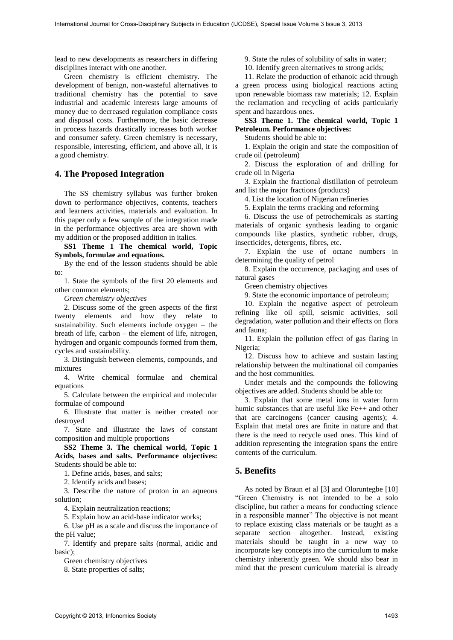lead to new developments as researchers in differing disciplines interact with one another.

Green chemistry is efficient chemistry. The development of benign, non-wasteful alternatives to traditional chemistry has the potential to save industrial and academic interests large amounts of money due to decreased regulation compliance costs and disposal costs. Furthermore, the basic decrease in process hazards drastically increases both worker and consumer safety. Green chemistry is necessary, responsible, interesting, efficient, and above all, it is a good chemistry.

#### **4. The Proposed Integration**

The SS chemistry syllabus was further broken down to performance objectives, contents, teachers and learners activities, materials and evaluation. In this paper only a few sample of the integration made in the performance objectives area are shown with my addition or the proposed addition in italics.

**SS1 Theme 1 The chemical world, Topic Symbols, formulae and equations.** 

By the end of the lesson students should be able to:

1. State the symbols of the first 20 elements and other common elements;

*Green chemistry objectives* 

2. Discuss some of the green aspects of the first twenty elements and how they relate to sustainability. Such elements include oxygen – the breath of life, carbon – the element of life, nitrogen, hydrogen and organic compounds formed from them, cycles and sustainability.

3. Distinguish between elements, compounds, and mixtures

4. Write chemical formulae and chemical equations

5. Calculate between the empirical and molecular formulae of compound

6. Illustrate that matter is neither created nor destroyed

7. State and illustrate the laws of constant composition and multiple proportions

**SS2 Theme 3. The chemical world, Topic 1 Acids, bases and salts. Performance objectives:** Students should be able to:

1. Define acids, bases, and salts;

2. Identify acids and bases;

3. Describe the nature of proton in an aqueous solution;

4. Explain neutralization reactions;

5. Explain how an acid-base indicator works;

6. Use pH as a scale and discuss the importance of the pH value;

7. Identify and prepare salts (normal, acidic and basic);

Green chemistry objectives

8. State properties of salts;

9. State the rules of solubility of salts in water;

10. Identify green alternatives to strong acids;

11. Relate the production of ethanoic acid through a green process using biological reactions acting upon renewable biomass raw materials; 12. Explain the reclamation and recycling of acids particularly spent and hazardous ones.

**SS3 Theme 1. The chemical world, Topic 1 Petroleum. Performance objectives:** 

Students should be able to:

1. Explain the origin and state the composition of crude oil (petroleum)

2. Discuss the exploration of and drilling for crude oil in Nigeria

3. Explain the fractional distillation of petroleum and list the major fractions (products)

4. List the location of Nigerian refineries

5. Explain the terms cracking and reforming

6. Discuss the use of petrochemicals as starting materials of organic synthesis leading to organic compounds like plastics, synthetic rubber, drugs, insecticides, detergents, fibres, etc.

7. Explain the use of octane numbers in determining the quality of petrol

8. Explain the occurrence, packaging and uses of natural gases

Green chemistry objectives

9. State the economic importance of petroleum;

10. Explain the negative aspect of petroleum refining like oil spill, seismic activities, soil degradation, water pollution and their effects on flora and fauna;

11. Explain the pollution effect of gas flaring in Nigeria;

12. Discuss how to achieve and sustain lasting relationship between the multinational oil companies and the host communities.

Under metals and the compounds the following objectives are added. Students should be able to:

3. Explain that some metal ions in water form humic substances that are useful like Fe++ and other that are carcinogens (cancer causing agents); 4. Explain that metal ores are finite in nature and that there is the need to recycle used ones. This kind of addition representing the integration spans the entire contents of the curriculum.

## **5. Benefits**

As noted by Braun et al [3] and Oloruntegbe [10] "Green Chemistry is not intended to be a solo discipline, but rather a means for conducting science in a responsible manner" The objective is not meant to replace existing class materials or be taught as a separate section altogether. Instead, existing materials should be taught in a new way to incorporate key concepts into the curriculum to make chemistry inherently green. We should also bear in mind that the present curriculum material is already